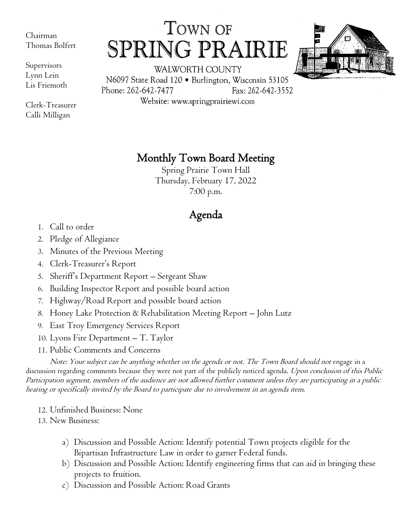Chairman Thomas Bolfert

Supervisors Lynn Lein Lis Friemoth

Clerk-Treasurer Calli Milligan

TOWN OF SPRING PRAIRIE



WALWORTH COUNTY N6097 State Road 120 · Burlington, Wisconsin 53105 Phone: 262-642-7477 Fax: 262-642-3552 Website: www.springprairiewi.com

Monthly Town Board Meeting

Spring Prairie Town Hall Thursday, February 17, 2022 7:00 p.m.

## Agenda

- 1. Call to order
- 2. Pledge of Allegiance
- 3. Minutes of the Previous Meeting
- 4. Clerk-Treasurer's Report
- 5. Sheriff's Department Report Sergeant Shaw
- 6. Building Inspector Report and possible board action
- 7. Highway/Road Report and possible board action
- 8. Honey Lake Protection & Rehabilitation Meeting Report John Lutz
- 9. East Troy Emergency Services Report
- 10. Lyons Fire Department T. Taylor
- 11. Public Comments and Concerns

Note: Your subject can be anything whether on the agenda or not. The Town Board should not engage in a discussion regarding comments because they were not part of the publicly noticed agenda. Upon conclusion of this Public Participation segment, members of the audience are not allowed further comment unless they are participating in a public hearing or specifically invited by the Board to participate due to involvement in an agenda item.

12. Unfinished Business: None

13. New Business:

- a) Discussion and Possible Action: Identify potential Town projects eligible for the Bipartisan Infrastructure Law in order to garner Federal funds.
- b) Discussion and Possible Action: Identify engineering firms that can aid in bringing these projects to fruition.
- c) Discussion and Possible Action: Road Grants